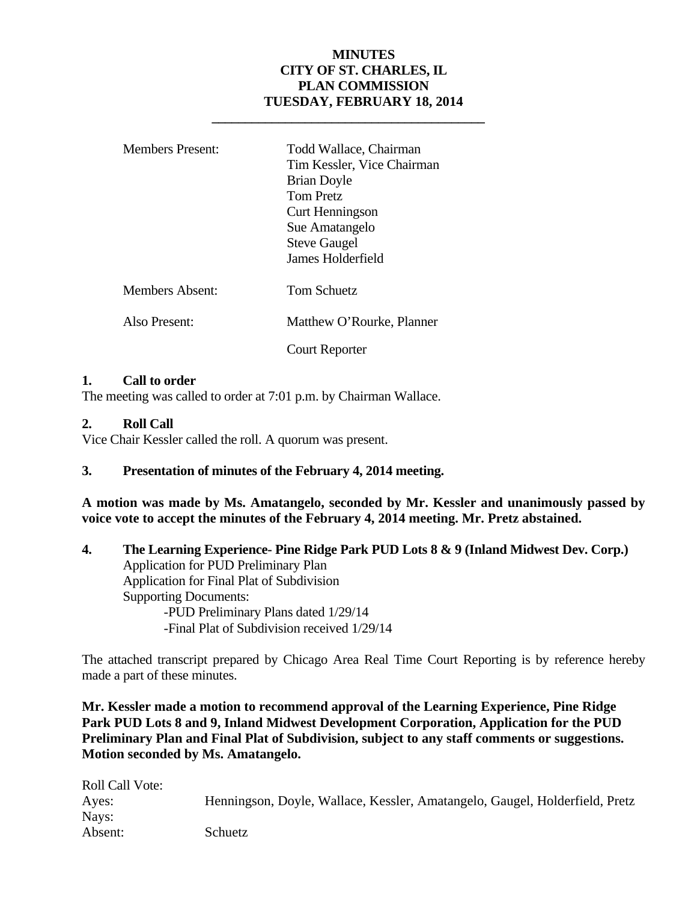#### **MINUTES CITY OF ST. CHARLES, IL PLAN COMMISSION TUESDAY, FEBRUARY 18, 2014**

| <b>Members Present:</b> | Todd Wallace, Chairman<br>Tim Kessler, Vice Chairman<br><b>Brian Doyle</b><br><b>Tom Pretz</b><br>Curt Henningson<br>Sue Amatangelo<br><b>Steve Gaugel</b><br>James Holderfield |
|-------------------------|---------------------------------------------------------------------------------------------------------------------------------------------------------------------------------|
| <b>Members Absent:</b>  | Tom Schuetz                                                                                                                                                                     |
| Also Present:           | Matthew O'Rourke, Planner                                                                                                                                                       |
|                         | Court Reporter                                                                                                                                                                  |

 **\_\_\_\_\_\_\_\_\_\_\_\_\_\_\_\_\_\_\_\_\_\_\_\_\_\_\_\_\_\_\_\_\_\_\_\_\_\_\_\_\_** 

#### **1. Call to order**

The meeting was called to order at 7:01 p.m. by Chairman Wallace.

#### **2. Roll Call**

Vice Chair Kessler called the roll. A quorum was present.

#### **3. Presentation of minutes of the February 4, 2014 meeting.**

**A motion was made by Ms. Amatangelo, seconded by Mr. Kessler and unanimously passed by voice vote to accept the minutes of the February 4, 2014 meeting. Mr. Pretz abstained.** 

**4. The Learning Experience- Pine Ridge Park PUD Lots 8 & 9 (Inland Midwest Dev. Corp.)**  Application for PUD Preliminary Plan Application for Final Plat of Subdivision Supporting Documents: -PUD Preliminary Plans dated 1/29/14 -Final Plat of Subdivision received 1/29/14

The attached transcript prepared by Chicago Area Real Time Court Reporting is by reference hereby made a part of these minutes.

**Mr. Kessler made a motion to recommend approval of the Learning Experience, Pine Ridge Park PUD Lots 8 and 9, Inland Midwest Development Corporation, Application for the PUD Preliminary Plan and Final Plat of Subdivision, subject to any staff comments or suggestions. Motion seconded by Ms. Amatangelo.** 

| <b>Roll Call Vote:</b> |                                                                             |
|------------------------|-----------------------------------------------------------------------------|
| Ayes:                  | Henningson, Doyle, Wallace, Kessler, Amatangelo, Gaugel, Holderfield, Pretz |
| Nays:                  |                                                                             |
| Absent:                | Schuetz                                                                     |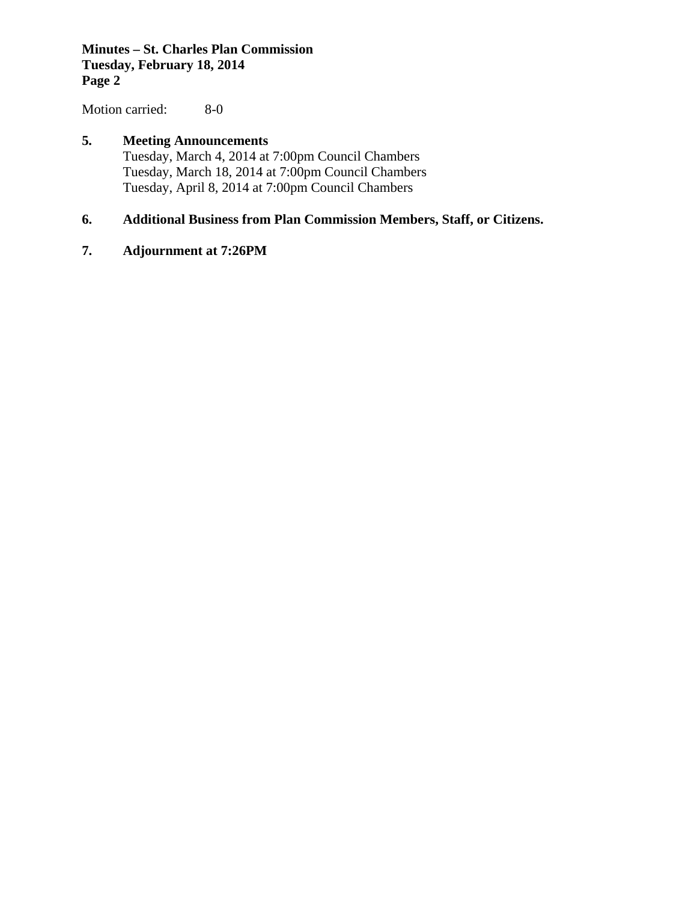#### **Minutes – St. Charles Plan Commission Tuesday, February 18, 2014 Page 2**

Motion carried: 8-0

#### **5. Meeting Announcements**  Tuesday, March 4, 2014 at 7:00pm Council Chambers Tuesday, March 18, 2014 at 7:00pm Council Chambers Tuesday, April 8, 2014 at 7:00pm Council Chambers

#### **6. Additional Business from Plan Commission Members, Staff, or Citizens.**

#### **7. Adjournment at 7:26PM**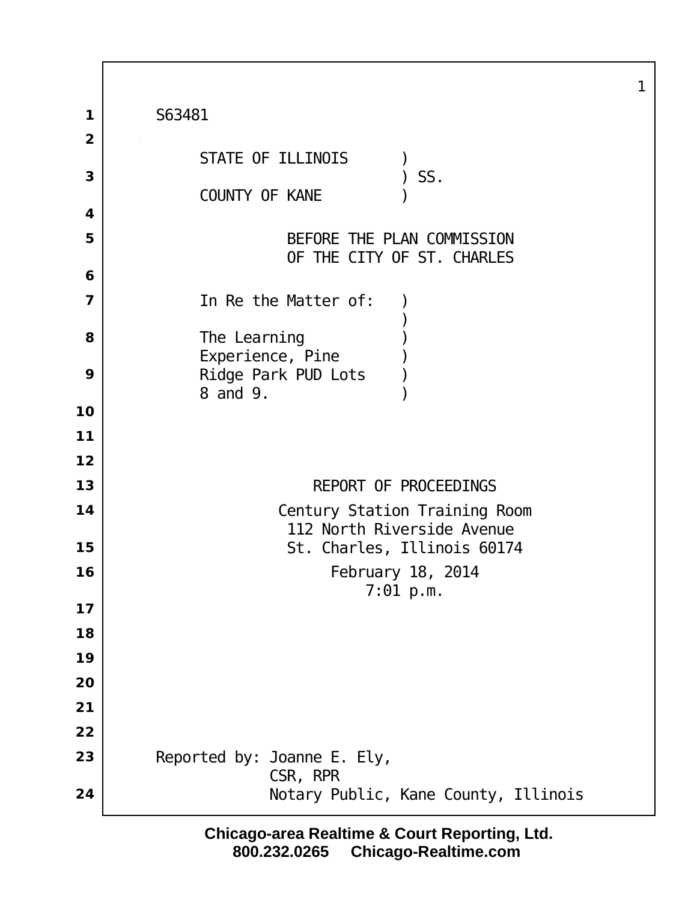| $\mathbf 1$         | S63481                                                      |
|---------------------|-------------------------------------------------------------|
| $\overline{2}$<br>3 | STATE OF ILLINOIS<br>SS.<br>COUNTY OF KANE                  |
| 4                   |                                                             |
| 5                   | BEFORE THE PLAN COMMISSION<br>OF THE CITY OF ST. CHARLES    |
| 6                   |                                                             |
| 7                   | In Re the Matter of:                                        |
| 8                   | The Learning<br>Experience, Pine                            |
| 9                   | Ridge Park PUD Lots<br>8 and 9.                             |
| 10                  |                                                             |
| 11                  |                                                             |
| 12                  |                                                             |
| 13                  | REPORT OF PROCEEDINGS                                       |
| 14                  | Century Station Training Room<br>112 North Riverside Avenue |
| 15                  | St. Charles, Illinois 60174                                 |
| 16                  | February 18, 2014                                           |
|                     | $7:01$ p.m.                                                 |
| 17<br>18            |                                                             |
| 19                  |                                                             |
| 20                  |                                                             |
| 21                  |                                                             |
| 22                  |                                                             |
| 23                  | Reported by: Joanne E. Ely,                                 |
| 24                  | CSR, RPR<br>Notary Public, Kane County, Illinois            |

Г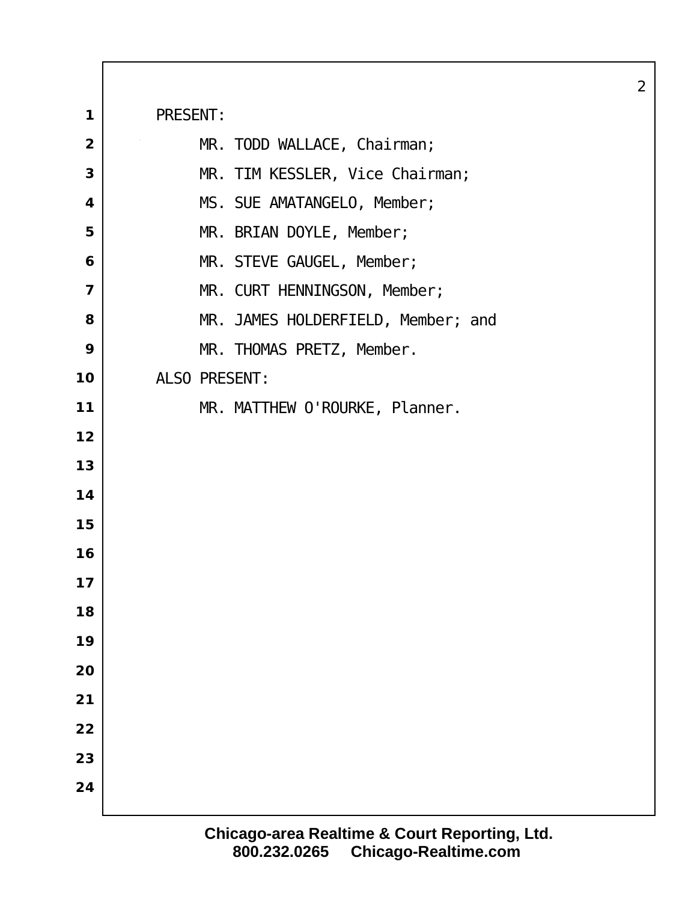PRESENT: MR. TODD WALLACE, Chairman; MR. TIM KESSLER, Vice Chairman; MS. SUE AMATANGELO, Member; MR. BRIAN DOYLE, Member; MR. STEVE GAUGEL, Member; MR. CURT HENNINGSON, Member; MR. JAMES HOLDERFIELD, Member; and MR. THOMAS PRETZ, Member. ALSO PRESENT: 11 | MR. MATTHEW O'ROURKE, Planner.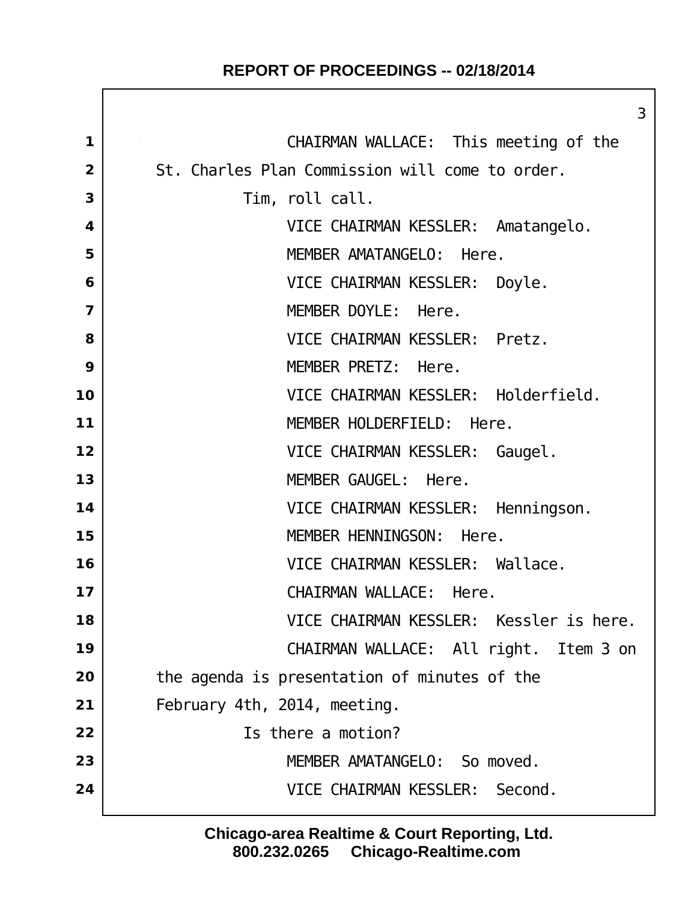|                         | 3                                               |
|-------------------------|-------------------------------------------------|
| 1                       | CHAIRMAN WALLACE: This meeting of the           |
| $\overline{2}$          | St. Charles Plan Commission will come to order. |
| 3                       | Tim, roll call.                                 |
| $\overline{\mathbf{4}}$ | VICE CHAIRMAN KESSLER: Amatangelo.              |
| 5                       | MEMBER AMATANGELO: Here.                        |
| 6                       | VICE CHAIRMAN KESSLER: Doyle.                   |
| $\overline{7}$          | MEMBER DOYLE: Here.                             |
| 8                       | VICE CHAIRMAN KESSLER: Pretz.                   |
| 9                       | MEMBER PRETZ: Here.                             |
| 10                      | VICE CHAIRMAN KESSLER: Holderfield.             |
| 11                      | MEMBER HOLDERFIELD: Here.                       |
| 12                      | VICE CHAIRMAN KESSLER: Gaugel.                  |
| 13                      | MEMBER GAUGEL: Here.                            |
| 14                      | VICE CHAIRMAN KESSLER: Henningson.              |
| 15                      | MEMBER HENNINGSON: Here.                        |
| 16                      | VICE CHAIRMAN KESSLER: Wallace.                 |
| 17                      | CHAIRMAN WALLACE: Here.                         |
| 18                      | VICE CHAIRMAN KESSLER: Kessler is here.         |
| 19                      | CHAIRMAN WALLACE: All right. Item 3 on          |
| 20                      | the agenda is presentation of minutes of the    |
| 21                      | February 4th, 2014, meeting.                    |
| 22                      | Is there a motion?                              |
| 23                      | MEMBER AMATANGELO: So moved.                    |
| 24                      | VICE CHAIRMAN KESSLER: Second.                  |
|                         |                                                 |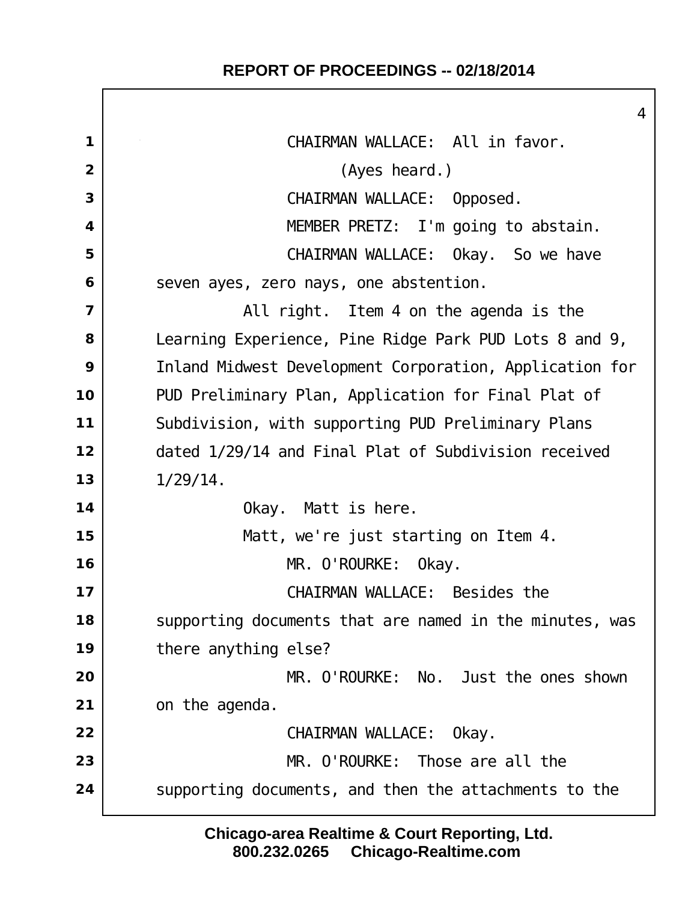$\Gamma$ 

|                         | $\overline{4}$                                          |
|-------------------------|---------------------------------------------------------|
| $\mathbf 1$             | CHAIRMAN WALLACE: All in favor.                         |
| $\overline{2}$          | (Ayes heard.)                                           |
| 3                       | CHAIRMAN WALLACE: Opposed.                              |
| 4                       | MEMBER PRETZ: I'm going to abstain.                     |
| 5                       | CHAIRMAN WALLACE: Okay. So we have                      |
| 6                       | seven ayes, zero nays, one abstention.                  |
| $\overline{\mathbf{z}}$ | All right. Item 4 on the agenda is the                  |
| 8                       | Learning Experience, Pine Ridge Park PUD Lots 8 and 9,  |
| 9                       | Inland Midwest Development Corporation, Application for |
| 10                      | PUD Preliminary Plan, Application for Final Plat of     |
| 11                      | Subdivision, with supporting PUD Preliminary Plans      |
| 12                      | dated 1/29/14 and Final Plat of Subdivision received    |
| 13                      | $1/29/14$ .                                             |
| 14                      | Okay. Matt is here.                                     |
| 15                      | Matt, we're just starting on Item 4.                    |
| 16                      | MR. O'ROURKE: Okay.                                     |
| 17                      | CHAIRMAN WALLACE: Besides the                           |
| 18                      | supporting documents that are named in the minutes, was |
| 19                      | there anything else?                                    |
| 20                      | MR. O'ROURKE: No. Just the ones shown                   |
| 21                      | on the agenda.                                          |
| 22                      | CHAIRMAN WALLACE:<br>Okay.                              |
| 23                      | MR. O'ROURKE: Those are all the                         |
| 24                      | supporting documents, and then the attachments to the   |
|                         |                                                         |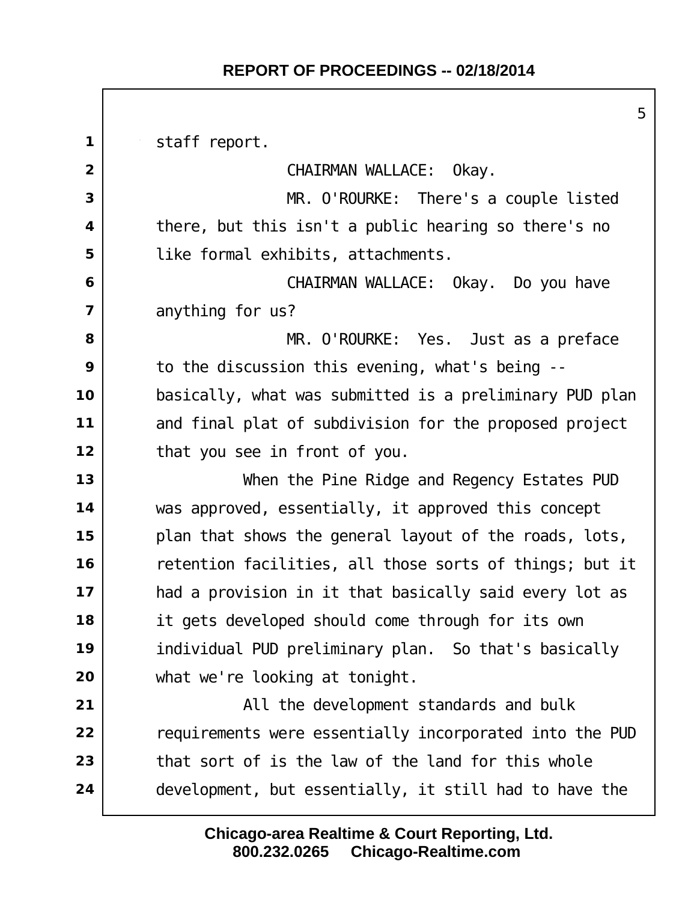staff report. CHAIRMAN WALLACE: Okay. MR. O'ROURKE: There's a couple listed there, but this isn't a public hearing so there's no like formal exhibits, attachments. CHAIRMAN WALLACE: Okay. Do you have anything for us? MR. O'ROURKE: Yes. Just as a preface to the discussion this evening, what's being -- basically, what was submitted is a preliminary PUD plan and final plat of subdivision for the proposed project that you see in front of you. When the Pine Ridge and Regency Estates PUD was approved, essentially, it approved this concept plan that shows the general layout of the roads, lots, retention facilities, all those sorts of things; but it had a provision in it that basically said every lot as it gets developed should come through for its own individual PUD preliminary plan. So that's basically what we're looking at tonight. All the development standards and bulk requirements were essentially incorporated into the PUD that sort of is the law of the land for this whole development, but essentially, it still had to have the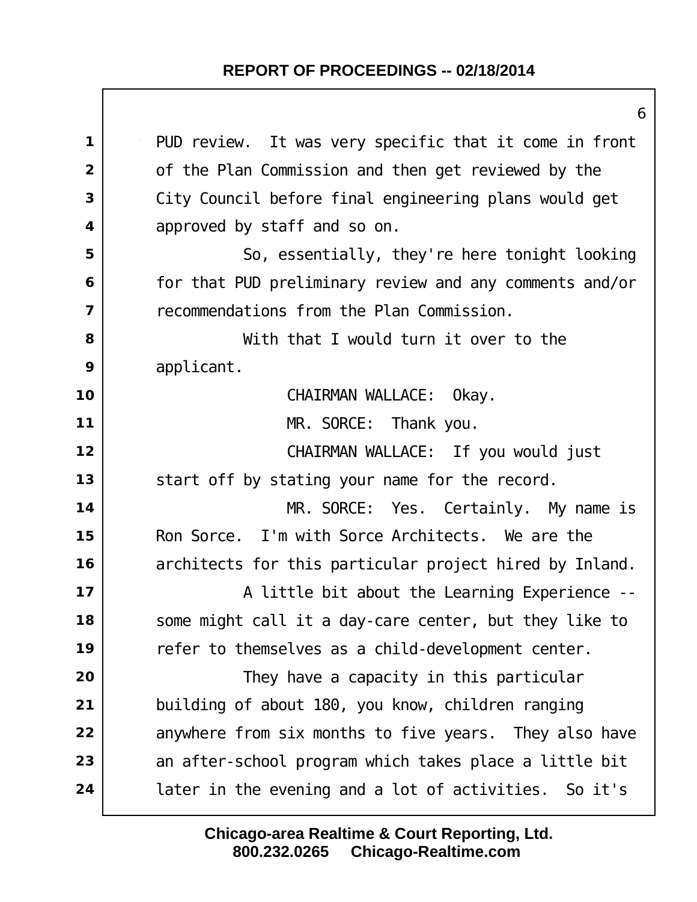|                | 6                                                       |
|----------------|---------------------------------------------------------|
| $\mathbf{1}$   | PUD review. It was very specific that it come in front  |
| $\overline{2}$ | of the Plan Commission and then get reviewed by the     |
| 3              | City Council before final engineering plans would get   |
| 4              | approved by staff and so on.                            |
| 5              | So, essentially, they're here tonight looking           |
| 6              | for that PUD preliminary review and any comments and/or |
| $\overline{ }$ | recommendations from the Plan Commission.               |
| 8              | With that I would turn it over to the                   |
| 9              | applicant.                                              |
| 10             | CHAIRMAN WALLACE: Okay.                                 |
| 11             | MR. SORCE: Thank you.                                   |
| 12             | CHAIRMAN WALLACE: If you would just                     |
| 13             | start off by stating your name for the record.          |
| 14             | MR. SORCE: Yes. Certainly. My name is                   |
| 15             | Ron Sorce. I'm with Sorce Architects. We are the        |
| 16             | architects for this particular project hired by Inland. |
| 17             | A little bit about the Learning Experience --           |
| 18             | some might call it a day-care center, but they like to  |
| 19             | refer to themselves as a child-development center.      |
| 20             | They have a capacity in this particular                 |
| 21             | building of about 180, you know, children ranging       |
| 22             | anywhere from six months to five years. They also have  |
| 23             | an after-school program which takes place a little bit  |
| 24             | later in the evening and a lot of activities. So it's   |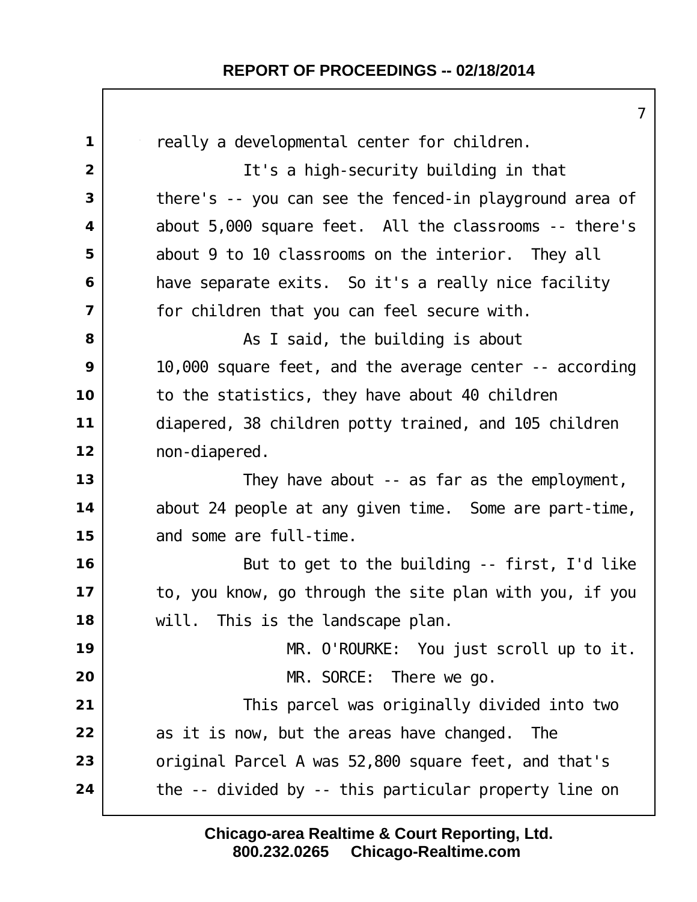|                         | 7                                                       |
|-------------------------|---------------------------------------------------------|
| $\mathbf 1$             | really a developmental center for children.             |
| $\overline{2}$          | It's a high-security building in that                   |
| 3                       | there's -- you can see the fenced-in playground area of |
| $\overline{\mathbf{4}}$ | about 5,000 square feet. All the classrooms -- there's  |
| 5                       | about 9 to 10 classrooms on the interior. They all      |
| 6                       | have separate exits. So it's a really nice facility     |
| $\overline{\mathbf{z}}$ | for children that you can feel secure with.             |
| 8                       | As I said, the building is about                        |
| 9                       | 10,000 square feet, and the average center -- according |
| 10                      | to the statistics, they have about 40 children          |
| 11                      | diapered, 38 children potty trained, and 105 children   |
| 12                      | non-di apered.                                          |
| 13                      | They have about -- as far as the employment,            |
| 14                      | about 24 people at any given time. Some are part-time,  |
| 15                      | and some are full-time.                                 |
| 16                      | But to get to the building -- first, I'd like           |
| 17                      | to, you know, go through the site plan with you, if you |
| 18                      | will. This is the landscape plan.                       |
| 19                      | MR. O'ROURKE: You just scroll up to it.                 |
| 20                      | MR. SORCE: There we go.                                 |
| 21                      | This parcel was originally divided into two             |
| 22                      | as it is now, but the areas have changed.<br>The        |
| 23                      | original Parcel A was 52,800 square feet, and that's    |
| 24                      | the -- divided by -- this particular property line on   |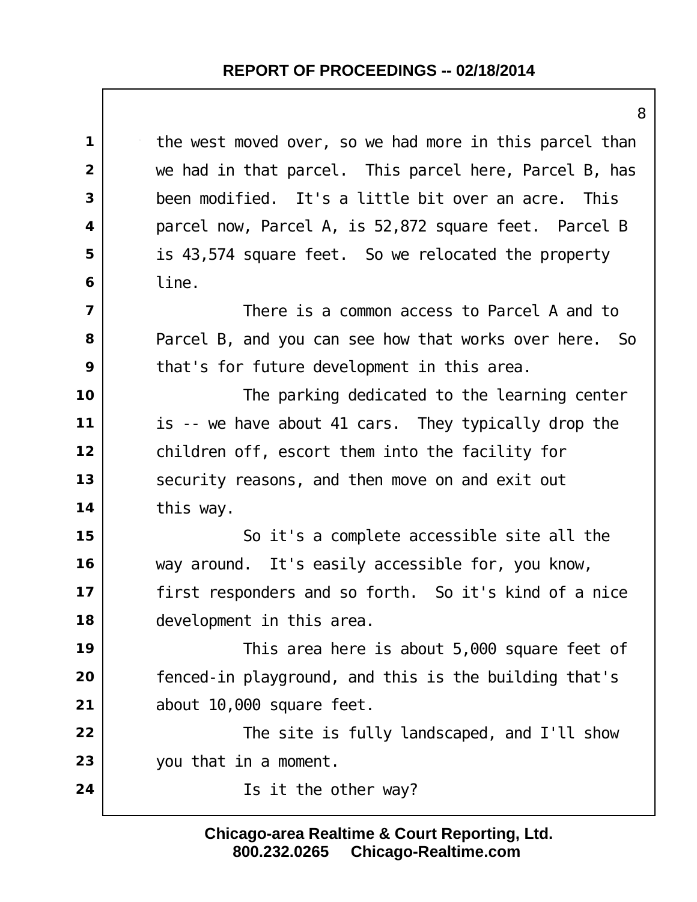the west moved over, so we had more in this parcel than we had in that parcel. This parcel here, Parcel B, has been modified. It's a little bit over an acre. This parcel now, Parcel A, is 52,872 square feet. Parcel B is 43,574 square feet. So we relocated the property line.  $\vert$  **There is a common access to Parcel A and to**  Parcel B, and you can see how that works over here. So that's for future development in this area. The parking dedicated to the learning center is -- we have about 41 cars. They typically drop the children off, escort them into the facility for Security reasons, and then move on and exit out this way.  $\vert$  So it's a complete accessible site all the way around. It's easily accessible for, you know, first responders and so forth. So it's kind of a nice development in this area. This area here is about 5,000 square feet of fenced-in playground, and this is the building that's about 10,000 square feet. The site is fully landscaped, and I'll show you that in a moment. | **Is it the other way?** 

> **800.232.0265 Chicago-Realtime.com Chicago-area Realtime & Court Reporting, Ltd.**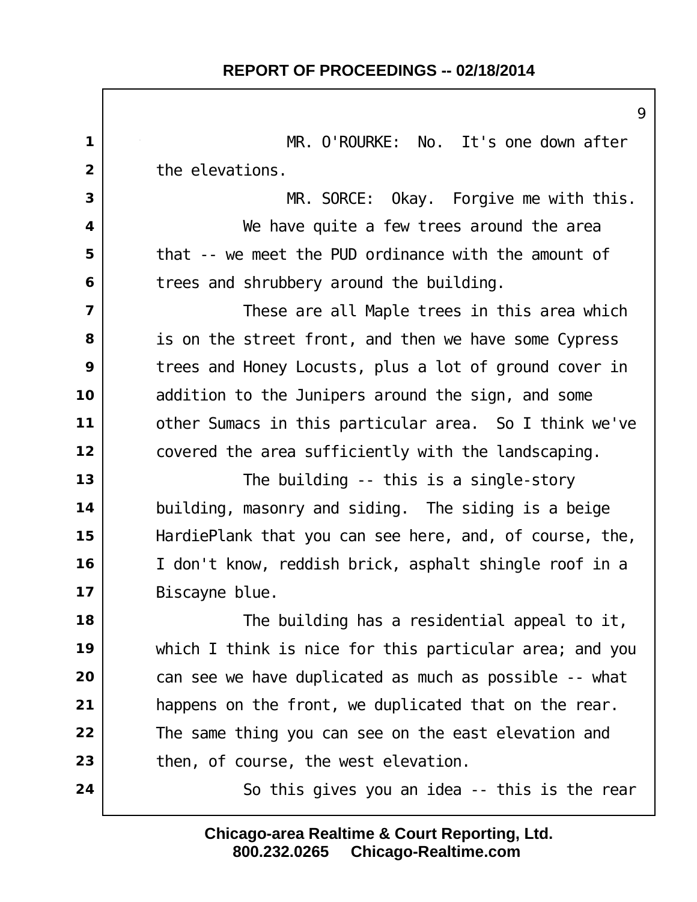|                | ς                                                       |
|----------------|---------------------------------------------------------|
| $\mathbf{1}$   | MR. O'ROURKE: No. It's one down after                   |
| $\overline{2}$ | the elevations.                                         |
| 3              | MR. SORCE: Okay. Forgive me with this.                  |
| 4              | We have quite a few trees around the area               |
| 5              | that -- we meet the PUD ordinance with the amount of    |
| 6              | trees and shrubbery around the building.                |
| $\overline{7}$ | These are all Maple trees in this area which            |
| 8              | is on the street front, and then we have some Cypress   |
| 9              | trees and Honey Locusts, plus a lot of ground cover in  |
| 10             | addition to the Junipers around the sign, and some      |
| 11             | other Sumacs in this particular area. So I think we've  |
| 12             | covered the area sufficiently with the landscaping.     |
| 13             | The building $-$ this is a single-story                 |
| 14             | building, masonry and siding. The siding is a beige     |
| 15             | HardiePlank that you can see here, and, of course, the, |
| 16             | I don't know, reddish brick, asphalt shingle roof in a  |
| 17             | Bi scayne blue.                                         |
| 18             | The building has a residential appeal to it,            |
| 19             | which I think is nice for this particular area; and you |
| 20             | can see we have duplicated as much as possible -- what  |
| 21             | happens on the front, we duplicated that on the rear.   |
| 22             | The same thing you can see on the east elevation and    |
| 23             | then, of course, the west elevation.                    |
| 24             | So this gives you an idea -- this is the rear           |
|                |                                                         |

**800.232.0265 Chicago-Realtime.com Chicago-area Realtime & Court Reporting, Ltd.**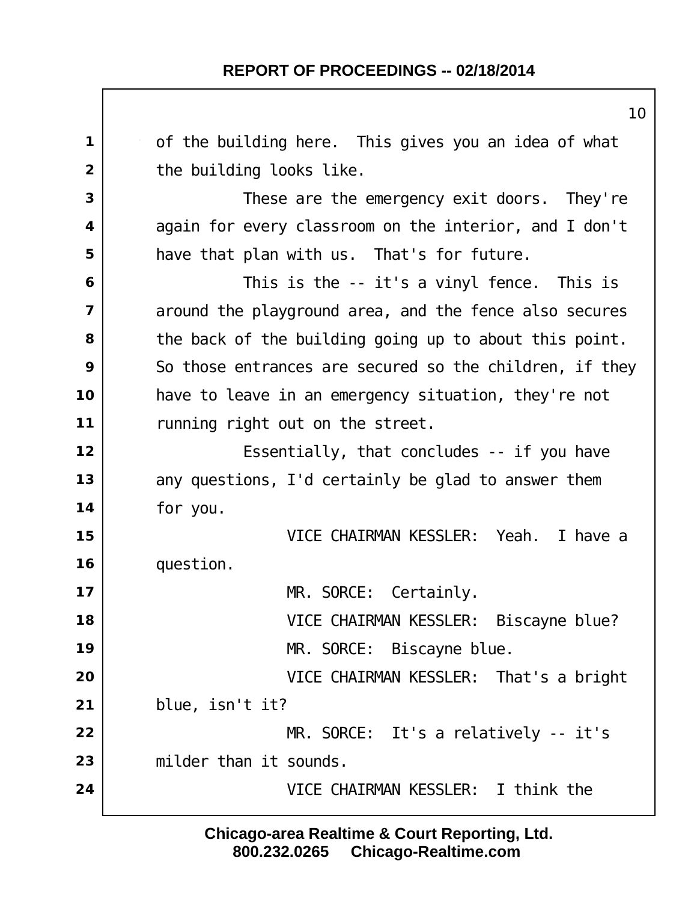of the building here. This gives you an idea of what the building looks like. These are the emergency exit doors. They're again for every classroom on the interior, and I don't have that plan with us. That's for future. This is the -- it's a vinyl fence. This is around the playground area, and the fence also secures the back of the building going up to about this point. So those entrances are secured so the children, if they have to leave in an emergency situation, they're not running right out on the street. | Essentially, that concludes -- if you have any questions, I'd certainly be glad to answer them for you. VICE CHAIRMAN KESSLER: Yeah. I have a question. MR. SORCE: Certainly. VICE CHAIRMAN KESSLER: Biscayne blue? MR. SORCE: Biscayne blue. VICE CHAIRMAN KESSLER: That's a bright blue, isn't it? MR. SORCE: It's a relatively -- it's milder than it sounds. VICE CHAIRMAN KESSLER: I think the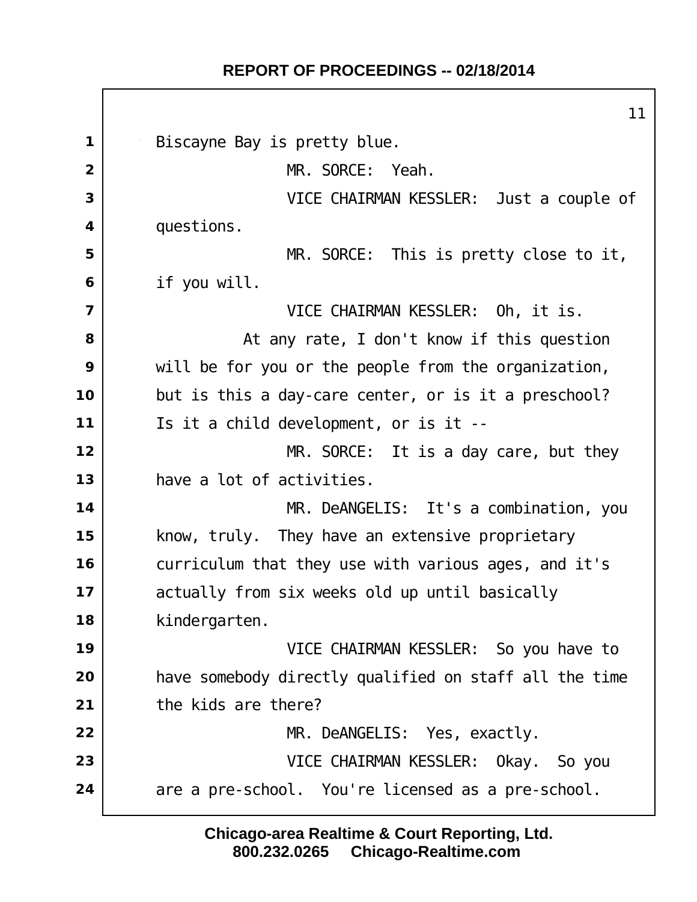Biscayne Bay is pretty blue. MR. SORCE: Yeah. VICE CHAIRMAN KESSLER: Just a couple of questions. MR. SORCE: This is pretty close to it, if you will. VICE CHAIRMAN KESSLER: Oh, it is. at any rate, I don't know if this question will be for you or the people from the organization, but is this a day-care center, or is it a preschool? Is it a child development, or is it -- MR. SORCE: It is a day care, but they have a lot of activities. MR. DeANGELIS: It's a combination, you know, truly. They have an extensive proprietary curriculum that they use with various ages, and it's actually from six weeks old up until basically kindergarten. VICE CHAIRMAN KESSLER: So you have to have somebody directly qualified on staff all the time the kids are there? MR. DeANGELIS: Yes, exactly. VICE CHAIRMAN KESSLER: Okay. So you 24 | are a pre-school. You're licensed as a pre-school.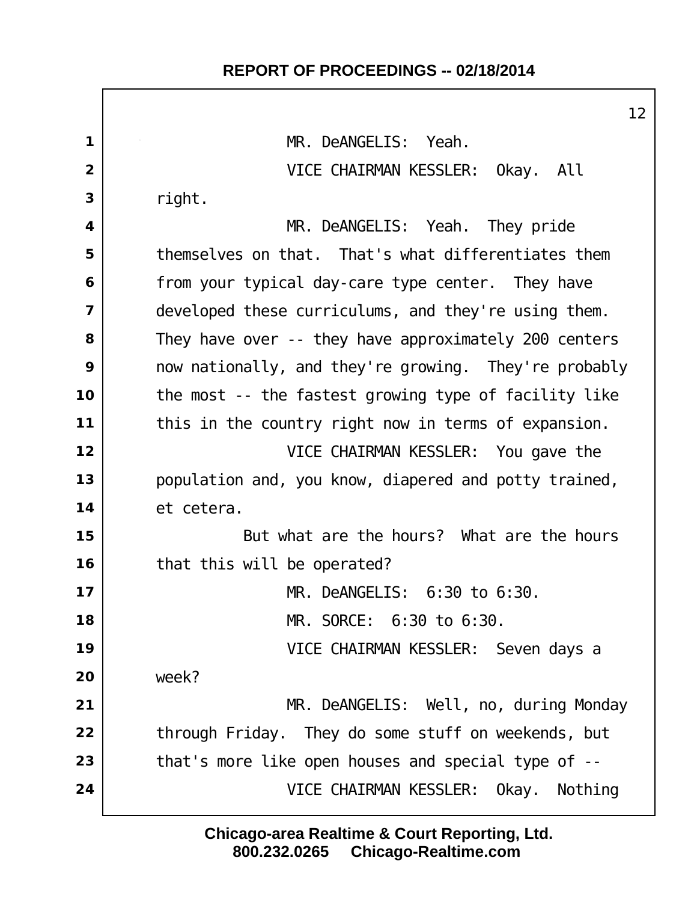MR. DeANGELIS: Yeah. VICE CHAIRMAN KESSLER: Okay. All right. MR. DeANGELIS: Yeah. They pride | themselves on that. That's what differentiates them from your typical day-care type center. They have developed these curriculums, and they're using them. They have over -- they have approximately 200 centers now nationally, and they're growing. They're probably the most -- the fastest growing type of facility like this in the country right now in terms of expansion. VICE CHAIRMAN KESSLER: You gave the population and, you know, diapered and potty trained, et cetera. But what are the hours? What are the hours that this will be operated? MR. DeANGELIS: 6:30 to 6:30. MR. SORCE: 6:30 to 6:30. VICE CHAIRMAN KESSLER: Seven days a week? MR. DeANGELIS: Well, no, during Monday through Friday. They do some stuff on weekends, but that's more like open houses and special type of --VICE CHAIRMAN KESSLER: Okay. Nothing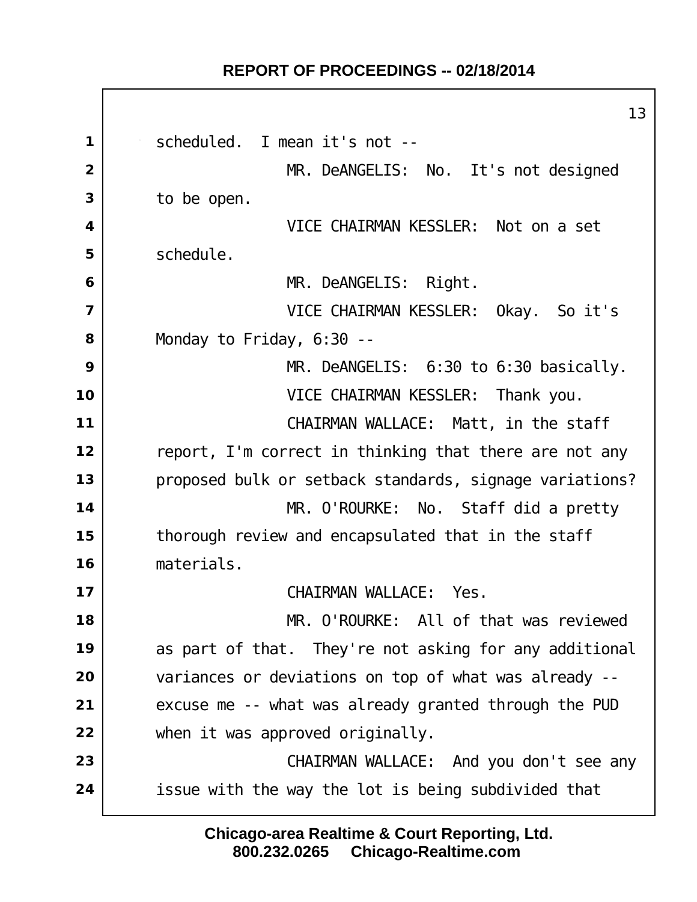scheduled. I mean it's not -- MR. DeANGELIS: No. It's not designed to be open. VICE CHAIRMAN KESSLER: Not on a set Schedule. MR. DeANGELIS: Right. VICE CHAIRMAN KESSLER: Okay. So it's Monday to Friday, 6:30 -- MR. DeANGELIS: 6:30 to 6:30 basically. VICE CHAIRMAN KESSLER: Thank you. CHAIRMAN WALLACE: Matt, in the staff report, I'm correct in thinking that there are not any proposed bulk or setback standards, signage variations? MR. O'ROURKE: No. Staff did a pretty thorough review and encapsulated that in the staff materials. CHAIRMAN WALLACE: Yes. MR. O'ROURKE: All of that was reviewed as part of that. They're not asking for any additional variances or deviations on top of what was already -- excuse me -- what was already granted through the PUD when it was approved originally. CHAIRMAN WALLACE: And you don't see any issue with the way the lot is being subdivided that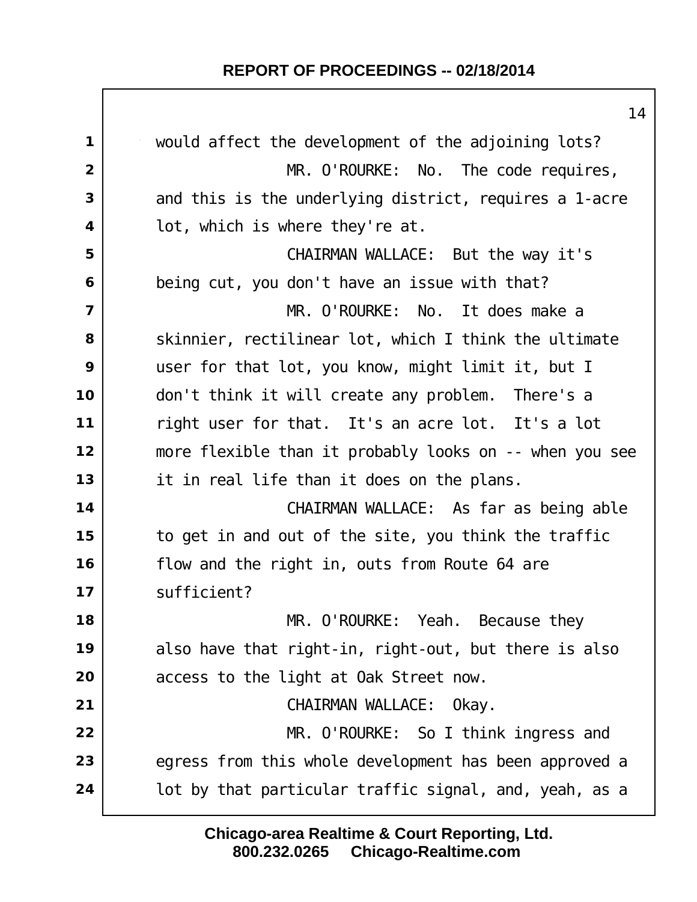would affect the development of the adjoining lots? MR. O'ROURKE: No. The code requires, and this is the underlying district, requires a 1-acre lot, which is where they're at. CHAIRMAN WALLACE: But the way it's being cut, you don't have an issue with that? MR. O'ROURKE: No. It does make a Skinnier, rectilinear lot, which I think the ultimate user for that lot, you know, might limit it, but I don't think it will create any problem. There's a right user for that. It's an acre lot. It's a lot more flexible than it probably looks on -- when you see it in real life than it does on the plans. CHAIRMAN WALLACE: As far as being able to get in and out of the site, you think the traffic flow and the right in, outs from Route 64 are sufficient? MR. O'ROURKE: Yeah. Because they also have that right-in, right-out, but there is also access to the light at Oak Street now. CHAIRMAN WALLACE: Okay. MR. O'ROURKE: So I think ingress and egress from this whole development has been approved a **lot by that particular traffic signal, and, yeah, as a**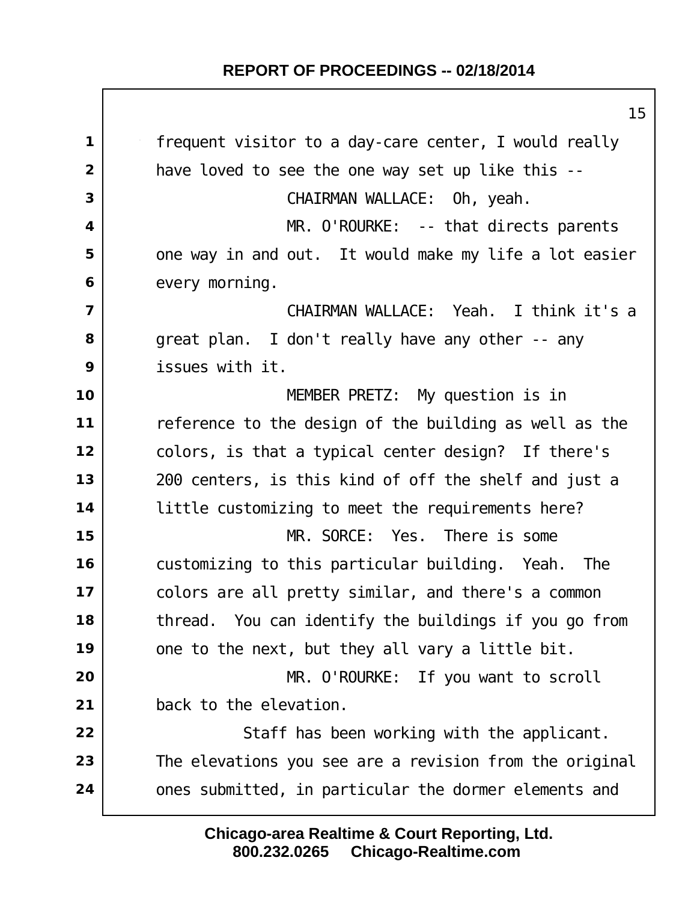frequent visitor to a day-care center, I would really have loved to see the one way set up like this -- CHAIRMAN WALLACE: Oh, yeah. MR. O'ROURKE: -- that directs parents one way in and out. It would make my life a lot easier every morning. CHAIRMAN WALLACE: Yeah. I think it's a great plan. I don't really have any other -- any issues with it. MEMBER PRETZ: My question is in reference to the design of the building as well as the colors, is that a typical center design? If there's 200 centers, is this kind of off the shelf and just a little customizing to meet the requirements here? MR. SORCE: Yes. There is some customizing to this particular building. Yeah. The colors are all pretty similar, and there's a common thread. You can identify the buildings if you go from one to the next, but they all vary a little bit. MR. O'ROURKE: If you want to scroll back to the elevation. Staff has been working with the applicant. The elevations you see are a revision from the original ones submitted, in particular the dormer elements and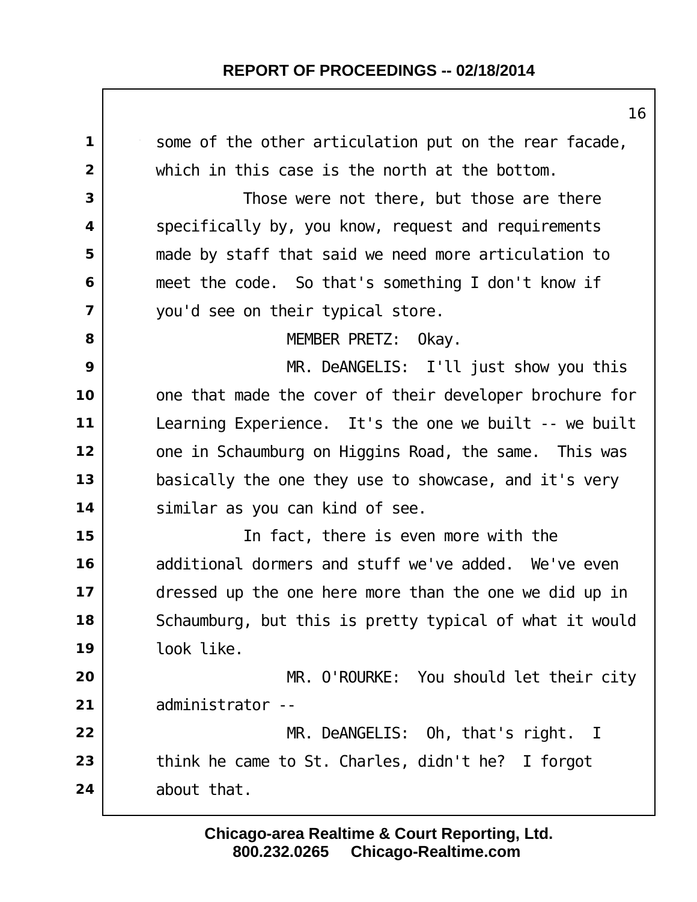| 1                       | some of the other articulation put on the rear facade,  |
|-------------------------|---------------------------------------------------------|
| $\overline{2}$          | which in this case is the north at the bottom.          |
| 3                       | Those were not there, but those are there               |
| 4                       | specifically by, you know, request and requirements     |
| 5                       | made by staff that said we need more articulation to    |
| 6                       | meet the code. So that's something I don't know if      |
| $\overline{\mathbf{z}}$ | you'd see on their typical store.                       |
| 8                       | MEMBER PRETZ: Okay.                                     |
| 9                       | MR. DeANGELIS: I'll just show you this                  |
| 10                      | one that made the cover of their developer brochure for |
| 11                      | Learning Experience. It's the one we built $-$ we built |
| 12                      | one in Schaumburg on Higgins Road, the same. This was   |
| 13                      | basically the one they use to showcase, and it's very   |
| 14                      | similar as you can kind of see.                         |
| 15                      | In fact, there is even more with the                    |
| 16                      | additional dormers and stuff we've added. We've even    |
| 17                      | dressed up the one here more than the one we did up in  |
| 18                      | Schaumburg, but this is pretty typical of what it would |
| 19                      | look like.                                              |
| 20                      | MR. O'ROURKE: You should let their city                 |
| 21                      | administrator --                                        |
| 22                      | $MR.$ DeANGELIS: Oh, that's right. I                    |
| 23                      | think he came to St. Charles, didn't he? I forgot       |
| 24                      | about that.                                             |
|                         |                                                         |

**800.232.0265 Chicago-Realtime.com Chicago-area Realtime & Court Reporting, Ltd.**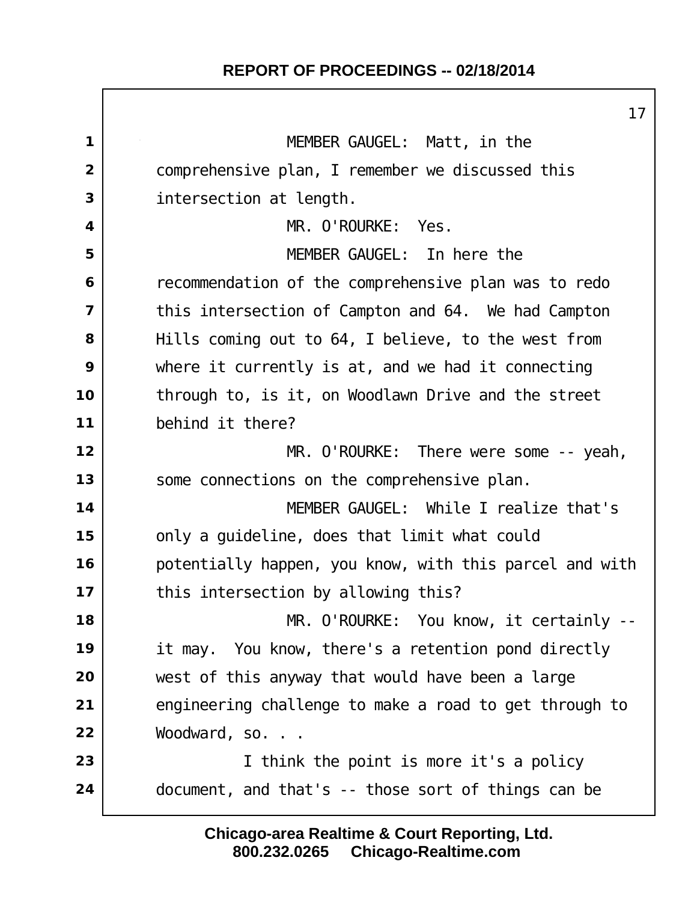|                | 17                                                      |
|----------------|---------------------------------------------------------|
| $\mathbf{1}$   | MEMBER GAUGEL: Matt, in the                             |
| $\overline{2}$ | comprehensive plan, I remember we discussed this        |
| 3              | intersection at length.                                 |
| 4              | MR. O'ROURKE: Yes.                                      |
| 5              | MEMBER GAUGEL: In here the                              |
| 6              | recommendation of the comprehensive plan was to redo    |
| $\overline{7}$ | this intersection of Campton and 64. We had Campton     |
| 8              | Hills coming out to 64, I believe, to the west from     |
| 9              | where it currently is at, and we had it connecting      |
| 10             | through to, is it, on Woodlawn Drive and the street     |
| 11             | behind it there?                                        |
| 12             | $MR.$ O'ROURKE: There were some $-$ - yeah,             |
| 13             | some connections on the comprehensive plan.             |
| 14             | MEMBER GAUGEL: While I realize that's                   |
| 15             | only a guideline, does that limit what could            |
| 16             | potentially happen, you know, with this parcel and with |
| 17             | this intersection by allowing this?                     |
| 18             | MR. O'ROURKE: You know, it certainly --                 |
| 19             | it may. You know, there's a retention pond directly     |
| 20             | west of this anyway that would have been a large        |
| 21             | engineering challenge to make a road to get through to  |
| 22             | Woodward, so.                                           |
| 23             | I think the point is more it's a policy                 |
| 24             | document, and that's -- those sort of things can be     |
|                |                                                         |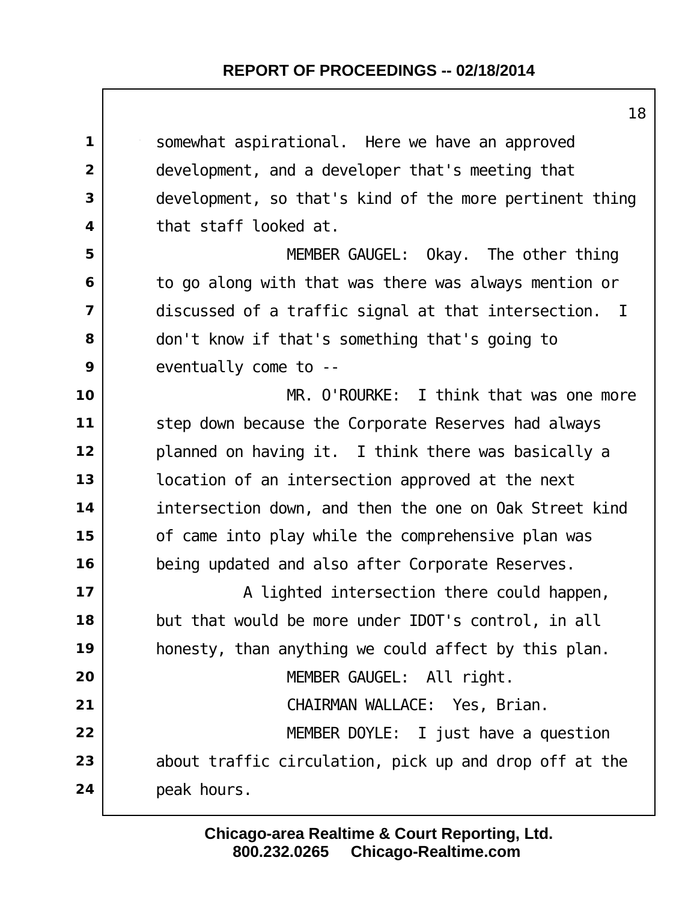somewhat aspirational. Here we have an approved development, and a developer that's meeting that development, so that's kind of the more pertinent thing that staff looked at. MEMBER GAUGEL: Okay. The other thing to go along with that was there was always mention or discussed of a traffic signal at that intersection. I don't know if that's something that's going to eventually come to -- MR. O'ROURKE: I think that was one more step down because the Corporate Reserves had always planned on having it. I think there was basically a location of an intersection approved at the next intersection down, and then the one on Oak Street kind of came into play while the comprehensive plan was being updated and also after Corporate Reserves.  $\vert$  **A** lighted intersection there could happen, but that would be more under IDOT's control, in all honesty, than anything we could affect by this plan. MEMBER GAUGEL: All right. CHAIRMAN WALLACE: Yes, Brian. MEMBER DOYLE: I just have a question about traffic circulation, pick up and drop off at the peak hours.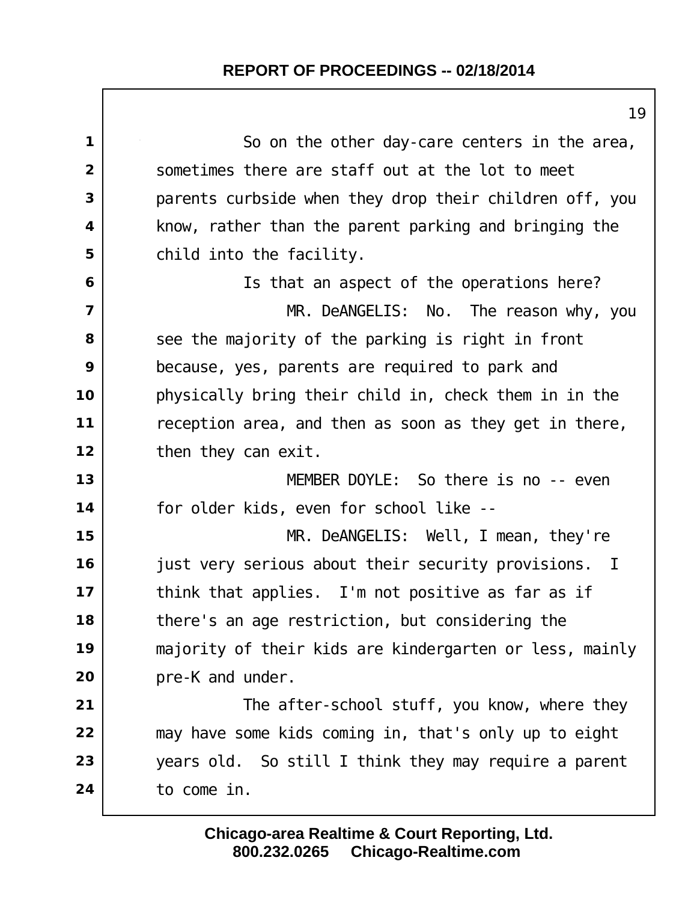| 19                                                      |
|---------------------------------------------------------|
| So on the other day-care centers in the area,           |
| sometimes there are staff out at the lot to meet        |
| parents curbside when they drop their children off, you |
| know, rather than the parent parking and bringing the   |
| child into the facility.                                |
| Is that an aspect of the operations here?               |
| MR. DeANGELIS: No. The reason why, you                  |
| see the majority of the parking is right in front       |
| because, yes, parents are required to park and          |
| physically bring their child in, check them in in the   |
| reception area, and then as soon as they get in there,  |
| then they can exit.                                     |
| MEMBER DOYLE: So there is no -- even                    |
| for older kids, even for school like --                 |
| MR. DeANGELIS: Well, I mean, they're                    |
| just very serious about their security provisions. I    |
| think that applies. I'm not positive as far as if       |
| there's an age restriction, but considering the         |
| majority of their kids are kindergarten or less, mainly |
| pre-K and under.                                        |
| The after-school stuff, you know, where they            |
| may have some kids coming in, that's only up to eight   |
| years old. So still I think they may require a parent   |
| to come in.                                             |
|                                                         |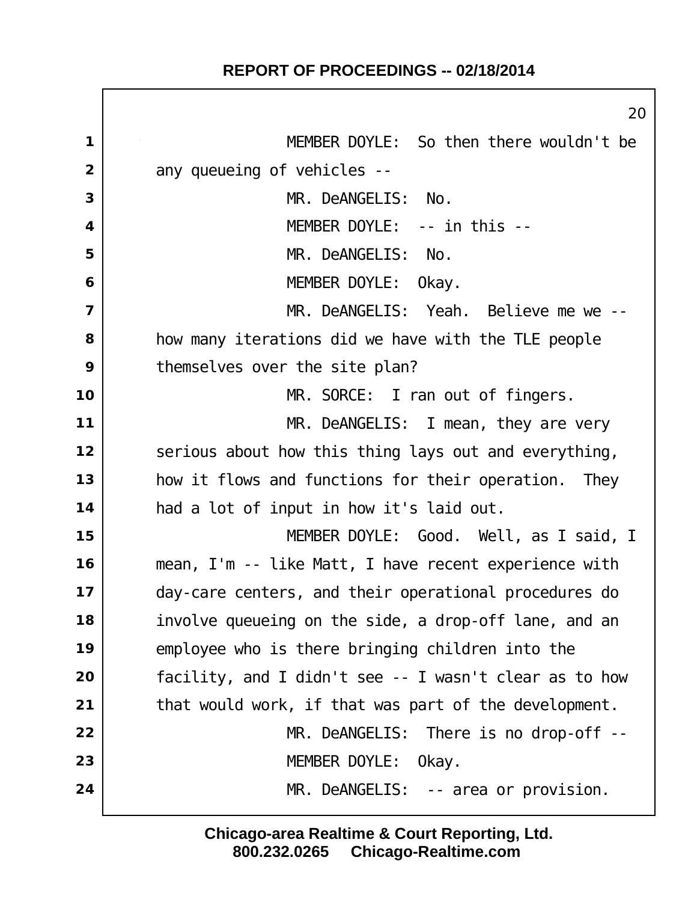$\Gamma$ 

|                         | 20                                                     |
|-------------------------|--------------------------------------------------------|
| $\mathbf 1$             | MEMBER DOYLE: So then there wouldn't be                |
| $\overline{2}$          | any queueing of vehicles --                            |
| 3                       | MR. DeANGELIS:<br>No.                                  |
| $\overline{\mathbf{4}}$ | MEMBER DOYLE: -- in this --                            |
| 5                       | MR. DeANGELIS:<br>No.                                  |
| 6                       | MEMBER DOYLE:<br>0kay.                                 |
| $\overline{7}$          | MR. DeANGELIS: Yeah. Believe me we --                  |
| 8                       | how many iterations did we have with the TLE people    |
| 9                       | themselves over the site plan?                         |
| 10                      | MR. SORCE: I ran out of fingers.                       |
| 11                      | $MR.$ DeANGELIS: I mean, they are very                 |
| 12                      | serious about how this thing lays out and everything,  |
| 13                      | how it flows and functions for their operation. They   |
| 14                      | had a lot of input in how it's laid out.               |
| 15                      | MEMBER DOYLE: Good. Well, as I said, I                 |
| 16                      | mean, I'm -- like Matt, I have recent experience with  |
| 17                      | day-care centers, and their operational procedures do  |
| 18                      | involve queueing on the side, a drop-off lane, and an  |
| 19                      | employee who is there bringing children into the       |
| 20                      | facility, and I didn't see -- I wasn't clear as to how |
| 21                      | that would work, if that was part of the development.  |
| 22                      | $MR.$ DeANGELIS: There is no drop-off --               |
| 23                      | MEMBER DOYLE:<br>0kay.                                 |
| 24                      | $MR.$ DeANGELIS: -- area or provision.                 |
|                         |                                                        |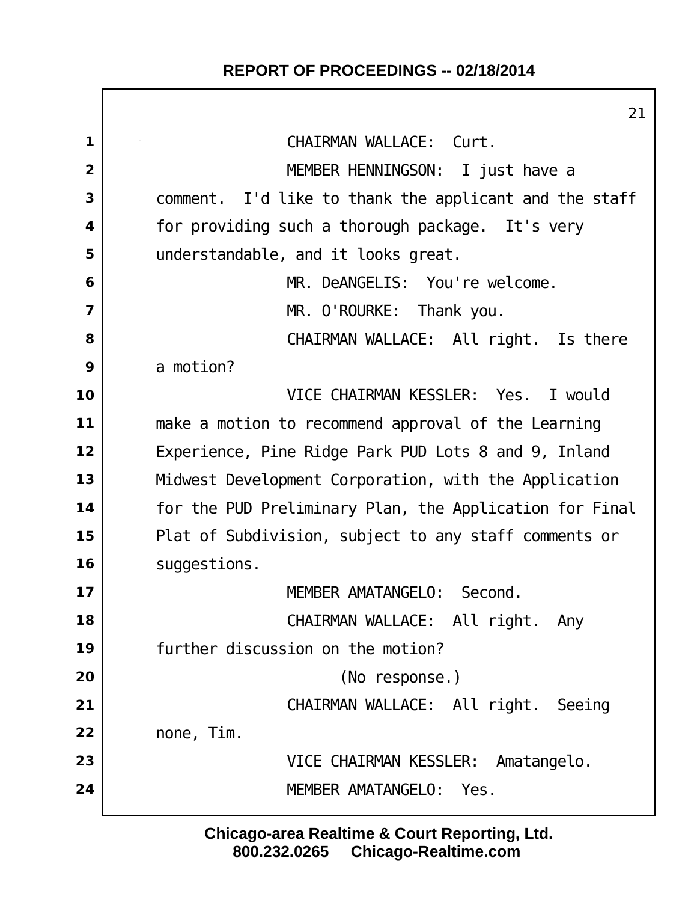$\Box$ 

|                         | 21                                                      |
|-------------------------|---------------------------------------------------------|
| 1                       | CHAIRMAN WALLACE: Curt.                                 |
| $\overline{2}$          | MEMBER HENNINGSON: I just have a                        |
| 3                       | comment. I'd like to thank the applicant and the staff  |
| $\overline{\mathbf{4}}$ | for providing such a thorough package. It's very        |
| 5                       | understandable, and it looks great.                     |
| 6                       | MR. DeANGELIS: You're welcome.                          |
| $\overline{7}$          | MR. O'ROURKE: Thank you.                                |
| 8                       | CHAIRMAN WALLACE: All right. Is there                   |
| 9                       | a motion?                                               |
| 10                      | VICE CHAIRMAN KESSLER: Yes. I would                     |
| 11                      | make a motion to recommend approval of the Learning     |
| 12                      | Experience, Pine Ridge Park PUD Lots 8 and 9, Inland    |
| 13                      | Midwest Development Corporation, with the Application   |
| 14                      | for the PUD Preliminary Plan, the Application for Final |
| 15                      | Plat of Subdivision, subject to any staff comments or   |
| 16                      | suggestions.                                            |
| 17                      | MEMBER AMATANGELO: Second.                              |
| 18                      | CHAIRMAN WALLACE: All right.<br>Any                     |
| 19                      | further discussion on the motion?                       |
| 20                      | (No response.)                                          |
| 21                      | CHAIRMAN WALLACE: All right. Seeing                     |
| 22                      | none, Tim.                                              |
| 23                      | VICE CHAIRMAN KESSLER: Amatangelo.                      |
| 24                      | MEMBER AMATANGELO: Yes.                                 |
|                         |                                                         |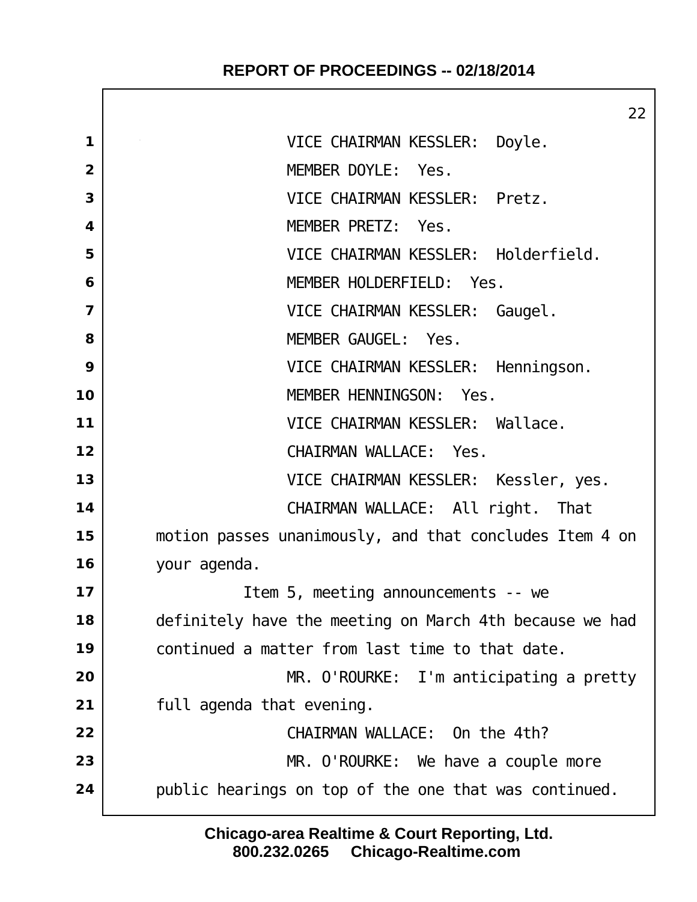|                | 22                                                      |
|----------------|---------------------------------------------------------|
| 1              | VICE CHAIRMAN KESSLER: Doyle.                           |
| $\overline{2}$ | MEMBER DOYLE: Yes.                                      |
| 3              | VICE CHAIRMAN KESSLER: Pretz.                           |
| 4              | MEMBER PRETZ: Yes.                                      |
| 5              | VICE CHAIRMAN KESSLER: Holderfield.                     |
| 6              | MEMBER HOLDERFIELD: Yes.                                |
| $\overline{7}$ | VICE CHAIRMAN KESSLER: Gaugel.                          |
| 8              | MEMBER GAUGEL: Yes.                                     |
| 9              | VICE CHAIRMAN KESSLER: Henningson.                      |
| 10             | MEMBER HENNINGSON: Yes.                                 |
| 11             | VICE CHAIRMAN KESSLER: Wallace.                         |
| 12             | CHAIRMAN WALLACE: Yes.                                  |
| 13             | VICE CHAIRMAN KESSLER: Kessler, yes.                    |
| 14             | CHAIRMAN WALLACE: All right. That                       |
| 15             | motion passes unanimously, and that concludes Item 4 on |
| 16             | your agenda.                                            |
| 17             | I tem 5, meeting announcements -- we                    |
| 18             | definitely have the meeting on March 4th because we had |
| 19             | continued a matter from last time to that date.         |
| 20             | MR. O'ROURKE: I'm anticipating a pretty                 |
| 21             | full agenda that evening.                               |
| 22             | CHAIRMAN WALLACE: On the 4th?                           |
| 23             | MR. O'ROURKE: We have a couple more                     |
| 24             | public hearings on top of the one that was continued.   |
|                |                                                         |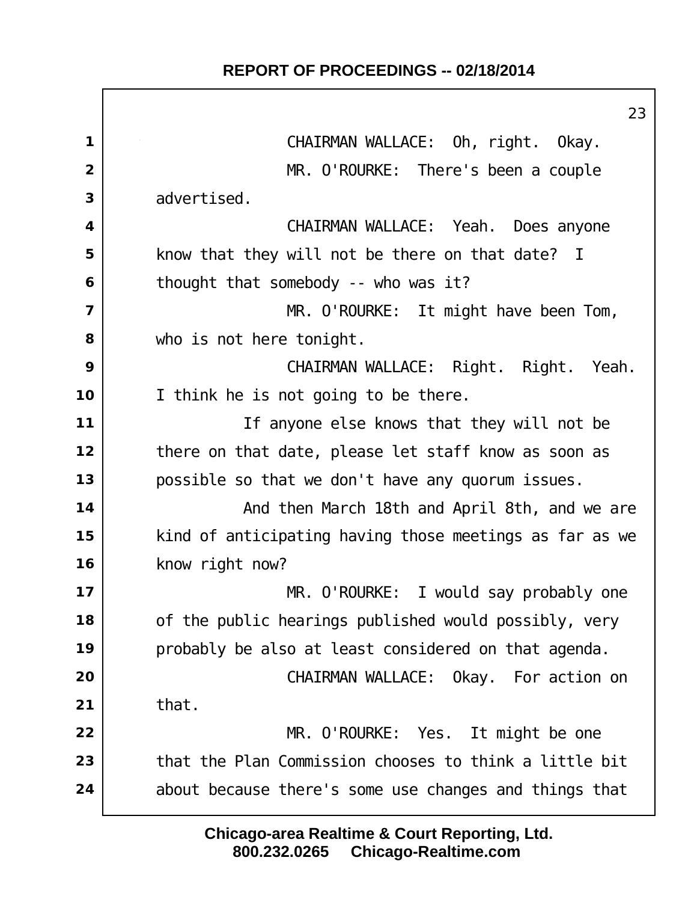$\Gamma$ 

|                | $2\overset{\circ}{.}$                                   |
|----------------|---------------------------------------------------------|
| $\mathbf 1$    | CHAIRMAN WALLACE: Oh, right. Okay.                      |
| $\overline{2}$ | MR. O'ROURKE: There's been a couple                     |
| 3              | advertised.                                             |
| 4              | CHAIRMAN WALLACE: Yeah. Does anyone                     |
| 5              | know that they will not be there on that date? I        |
| 6              | thought that somebody -- who was it?                    |
| $\overline{7}$ | MR. O'ROURKE: It might have been Tom,                   |
| 8              | who is not here tonight.                                |
| 9              | CHAIRMAN WALLACE: Right. Right. Yeah.                   |
| 10             | I think he is not going to be there.                    |
| 11             | If anyone else knows that they will not be              |
| 12             | there on that date, please let staff know as soon as    |
| 13             | possible so that we don't have any quorum issues.       |
| 14             | And then March 18th and April 8th, and we are           |
| 15             | kind of anticipating having those meetings as far as we |
| 16             | know right now?                                         |
| 17             | MR. O'ROURKE: I would say probably one                  |
| 18             | of the public hearings published would possibly, very   |
| 19             | probably be also at least considered on that agenda.    |
| 20             | CHAIRMAN WALLACE: Okay. For action on                   |
| 21             | that.                                                   |
| 22             | MR. O'ROURKE: Yes. It might be one                      |
| 23             | that the Plan Commission chooses to think a little bit  |
| 24             | about because there's some use changes and things that  |
|                |                                                         |

**800.232.0265 Chicago-Realtime.com Chicago-area Realtime & Court Reporting, Ltd.**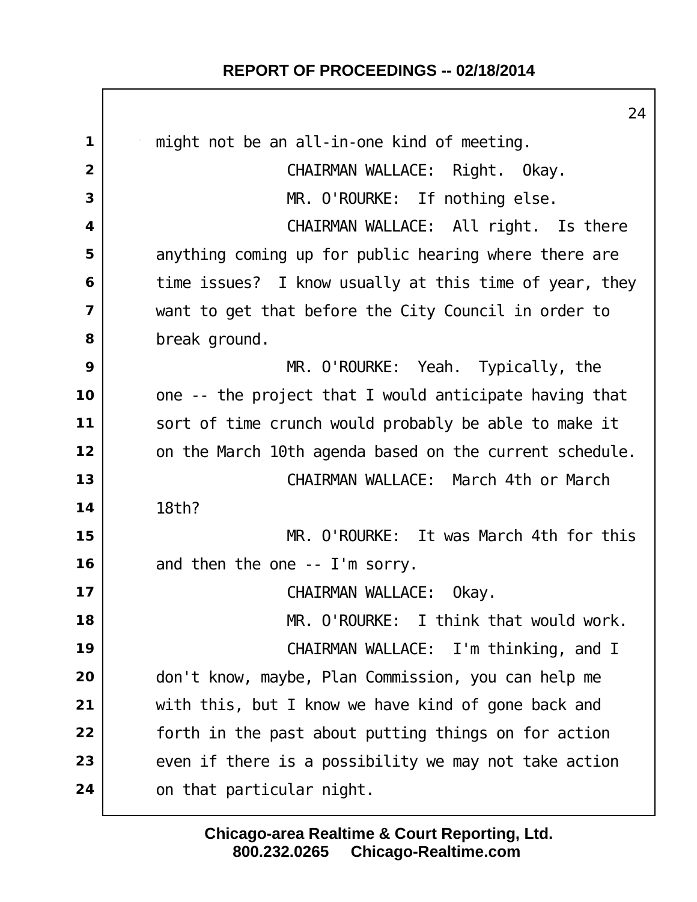|                | 24                                                      |
|----------------|---------------------------------------------------------|
| 1              | might not be an all-in-one kind of meeting.             |
| $\overline{2}$ | CHAIRMAN WALLACE: Right. Okay.                          |
| 3              | MR. O'ROURKE: If nothing else.                          |
| 4              | CHAIRMAN WALLACE: All right. Is there                   |
| 5              | anything coming up for public hearing where there are   |
| 6              | time issues? I know usually at this time of year, they  |
| $\overline{7}$ | want to get that before the City Council in order to    |
| 8              | break ground.                                           |
| 9              | $MR.$ O'ROURKE: Yeah. Typically, the                    |
| 10             | one -- the project that I would anticipate having that  |
| 11             | sort of time crunch would probably be able to make it   |
| 12             | on the March 10th agenda based on the current schedule. |
| 13             | CHAIRMAN WALLACE: March 4th or March                    |
| 14             | 18th?                                                   |
| 15             | MR. O'ROURKE: It was March 4th for this                 |
| 16             | and then the one -- I'm sorry.                          |
| 17             | CHAIRMAN WALLACE:<br>Okay.                              |
| 18             | MR. O'ROURKE: I think that would work.                  |
| 19             | CHAIRMAN WALLACE: I'm thinking, and I                   |
| 20             | don't know, maybe, Plan Commission, you can help me     |
| 21             | with this, but I know we have kind of gone back and     |
| 22             | forth in the past about putting things on for action    |
| 23             | even if there is a possibility we may not take action   |
| 24             | on that particular night.                               |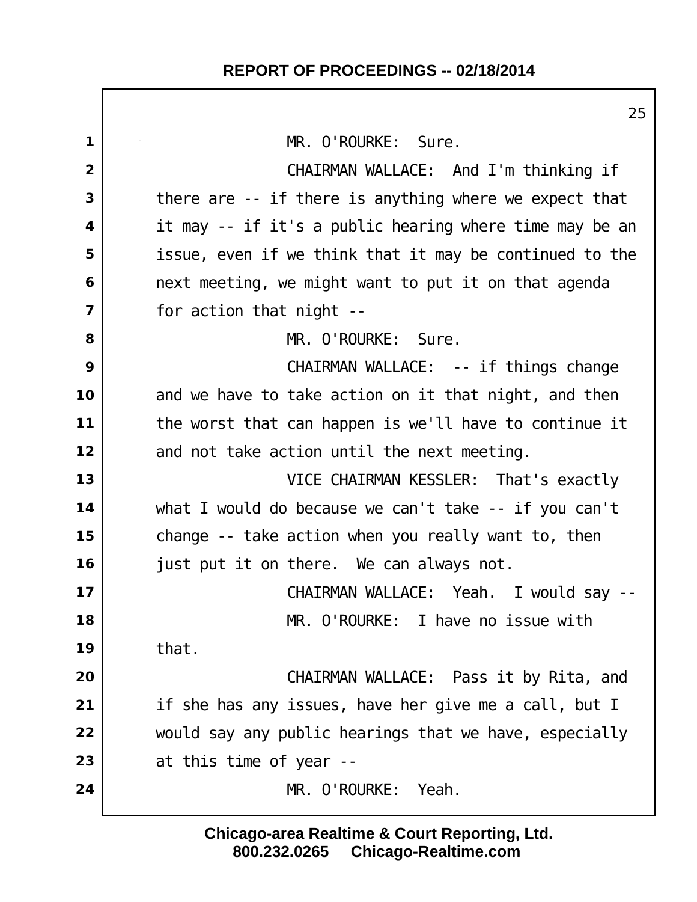$\Gamma$ 

|                | 25                                                      |
|----------------|---------------------------------------------------------|
| 1              | MR. O'ROURKE: Sure.                                     |
| $\overline{2}$ | CHAIRMAN WALLACE: And I'm thinking if                   |
| 3              | there are -- if there is anything where we expect that  |
| 4              | it may -- if it's a public hearing where time may be an |
| 5              | issue, even if we think that it may be continued to the |
| 6              | next meeting, we might want to put it on that agenda    |
| $\overline{7}$ | for action that night --                                |
| 8              | MR. O'ROURKE: Sure.                                     |
| 9              | CHAIRMAN WALLACE: -- if things change                   |
| 10             | and we have to take action on it that night, and then   |
| 11             | the worst that can happen is we'll have to continue it  |
| 12             | and not take action until the next meeting.             |
| 13             | VICE CHAIRMAN KESSLER: That's exactly                   |
| 14             | what I would do because we can't take -- if you can't   |
| 15             | change -- take action when you really want to, then     |
| 16             | just put it on there. We can always not.                |
| 17             | CHAIRMAN WALLACE: Yeah. I would say                     |
| 18             | MR. O'ROURKE: I have no issue with                      |
| 19             | that.                                                   |
| 20             | CHAIRMAN WALLACE: Pass it by Rita, and                  |
| 21             | if she has any issues, have her give me a call, but I   |
| 22             | would say any public hearings that we have, especially  |
| 23             | at this time of year --                                 |
| 24             | MR. O'ROURKE:<br>Yeah.                                  |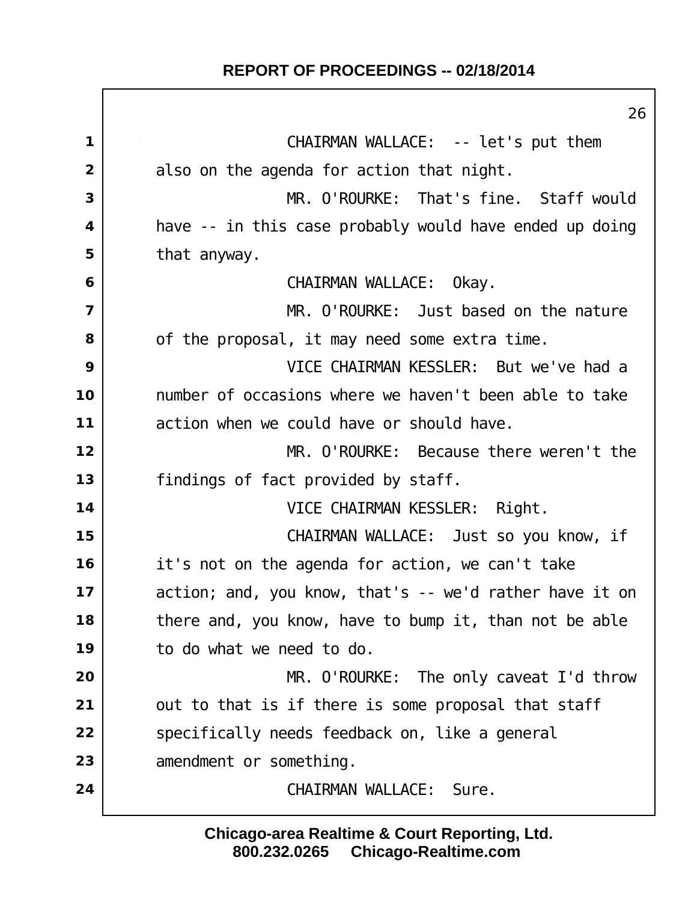| 26                                                      |
|---------------------------------------------------------|
| CHAIRMAN WALLACE: -- let's put them                     |
| also on the agenda for action that night.               |
| MR. O'ROURKE: That's fine. Staff would                  |
| have -- in this case probably would have ended up doing |
| that anyway.                                            |
| CHAIRMAN WALLACE: Okay.                                 |
| MR. O'ROURKE: Just based on the nature                  |
| of the proposal, it may need some extra time.           |
| VICE CHAIRMAN KESSLER: But we've had a                  |
| number of occasions where we haven't been able to take  |
| action when we could have or should have.               |
| MR. O'ROURKE: Because there weren't the                 |
| findings of fact provided by staff.                     |
| VICE CHAIRMAN KESSLER: Right.                           |
| CHAIRMAN WALLACE: Just so you know, if                  |
| it's not on the agenda for action, we can't take        |
| action; and, you know, that's -- we'd rather have it on |
| there and, you know, have to bump it, than not be able  |
| to do what we need to do.                               |
| MR. O'ROURKE: The only caveat I'd throw                 |
| out to that is if there is some proposal that staff     |
| specifically needs feedback on, like a general          |
| amendment or something.                                 |
| CHAI RMAN WALLACE:<br>Sure.                             |
|                                                         |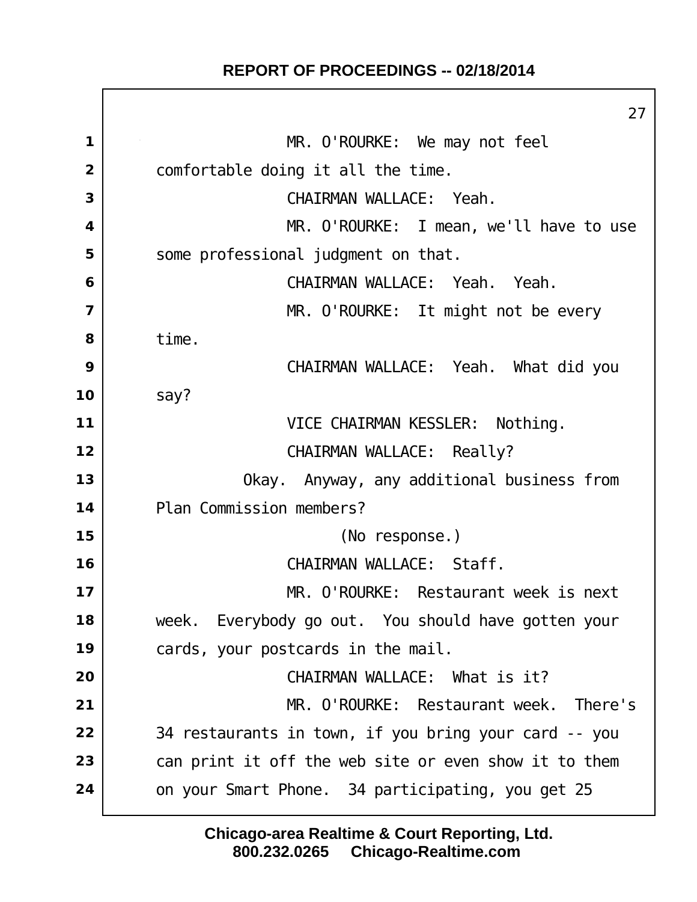$\Box$ 

|                | 27                                                     |
|----------------|--------------------------------------------------------|
| 1              | MR. O'ROURKE: We may not feel                          |
| $\overline{2}$ | comfortable doing it all the time.                     |
| 3              | CHAIRMAN WALLACE: Yeah.                                |
| 4              | MR. O'ROURKE: I mean, we'll have to use                |
| 5              | some professional judgment on that.                    |
| 6              | CHAIRMAN WALLACE: Yeah. Yeah.                          |
| $\overline{7}$ | MR. O'ROURKE: It might not be every                    |
| 8              | time.                                                  |
| 9              | CHAIRMAN WALLACE: Yeah. What did you                   |
| 10             | say?                                                   |
| 11             | VICE CHAIRMAN KESSLER: Nothing.                        |
| 12             | CHAIRMAN WALLACE: Really?                              |
| 13             | Okay. Anyway, any additional business from             |
| 14             | Plan Commission members?                               |
| 15             | (No response.)                                         |
| 16             | CHAIRMAN WALLACE: Staff.                               |
| 17             | MR. O'ROURKE: Restaurant week is next                  |
| 18             | Everybody go out. You should have gotten your<br>week. |
| 19             | cards, your postcards in the mail.                     |
| 20             | CHAIRMAN WALLACE: What is it?                          |
| 21             | MR. O'ROURKE: Restaurant week. There's                 |
| 22             | 34 restaurants in town, if you bring your card -- you  |
| 23             | can print it off the web site or even show it to them  |
| 24             | on your Smart Phone. 34 participating, you get 25      |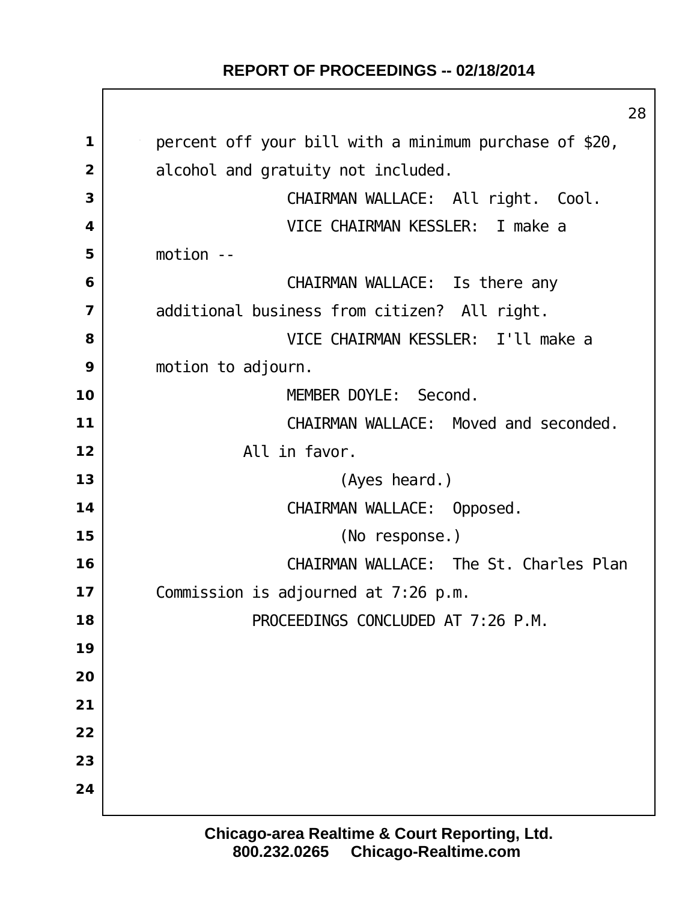$\mathbf{I}$ 

|                         | 28                                                     |
|-------------------------|--------------------------------------------------------|
| $\mathbf 1$             | percent off your bill with a minimum purchase of \$20, |
| $\overline{2}$          | alcohol and gratuity not included.                     |
| 3                       | CHAIRMAN WALLACE: All right. Cool.                     |
| 4                       | VICE CHAIRMAN KESSLER: I make a                        |
| 5                       | $motion - -$                                           |
| 6                       | CHAIRMAN WALLACE: Is there any                         |
| $\overline{\mathbf{z}}$ | additional business from citizen? All right.           |
| 8                       | VICE CHAIRMAN KESSLER: I'll make a                     |
| 9                       | motion to adjourn.                                     |
| 10                      | MEMBER DOYLE: Second.                                  |
| 11                      | CHAIRMAN WALLACE: Moved and seconded.                  |
| 12                      | All in favor.                                          |
| 13                      | (Ayes heard.)                                          |
| 14                      | CHAIRMAN WALLACE: Opposed.                             |
| 15                      | (No response.)                                         |
| 16                      | CHAIRMAN WALLACE: The St. Charles Plan                 |
| 17                      | Commission is adjourned at 7:26 p.m.                   |
| 18                      | PROCEEDINGS CONCLUDED AT 7:26 P.M.                     |
| 19                      |                                                        |
| 20                      |                                                        |
| 21                      |                                                        |
| 22                      |                                                        |
| 23                      |                                                        |
| 24                      |                                                        |
|                         |                                                        |